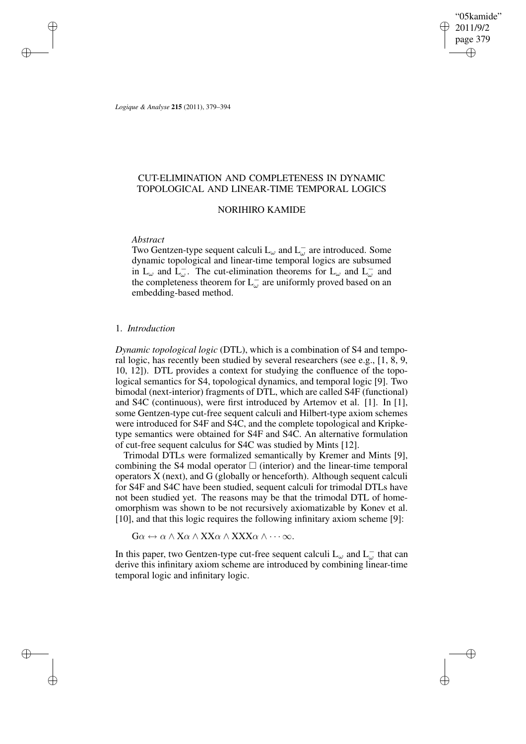"05kamide" 2011/9/2 page 379 ✐ ✐

✐

✐

*Logique & Analyse* **215** (2011), 379–394

✐

✐

✐

✐

# CUT-ELIMINATION AND COMPLETENESS IN DYNAMIC TOPOLOGICAL AND LINEAR-TIME TEMPORAL LOGICS

## NORIHIRO KAMIDE

### *Abstract*

Two Gentzen-type sequent calculi  $L_{\omega}$  and  $L_{\omega}^-$  are introduced. Some dynamic topological and linear-time temporal logics are subsumed in  $L_{\omega}$  and  $\overline{L_{\omega}}$ . The cut-elimination theorems for  $L_{\omega}$  and  $L_{\omega}^-$  and the completeness theorem for  $L_{\omega}^-$  are uniformly proved based on an embedding-based method.

## 1. *Introduction*

*Dynamic topological logic* (DTL), which is a combination of S4 and temporal logic, has recently been studied by several researchers (see e.g., [1, 8, 9, 10, 12]). DTL provides a context for studying the confluence of the topological semantics for S4, topological dynamics, and temporal logic [9]. Two bimodal (next-interior) fragments of DTL, which are called S4F (functional) and S4C (continuous), were first introduced by Artemov et al. [1]. In [1], some Gentzen-type cut-free sequent calculi and Hilbert-type axiom schemes were introduced for S4F and S4C, and the complete topological and Kripketype semantics were obtained for S4F and S4C. An alternative formulation of cut-free sequent calculus for S4C was studied by Mints [12].

Trimodal DTLs were formalized semantically by Kremer and Mints [9], combining the S4 modal operator  $\Box$  (interior) and the linear-time temporal operators X (next), and G (globally or henceforth). Although sequent calculi for S4F and S4C have been studied, sequent calculi for trimodal DTLs have not been studied yet. The reasons may be that the trimodal DTL of homeomorphism was shown to be not recursively axiomatizable by Konev et al. [10], and that this logic requires the following infinitary axiom scheme [9]:

 $G\alpha \leftrightarrow \alpha \wedge X\alpha \wedge XX\alpha \wedge XXX\alpha \wedge \cdots \infty.$ 

In this paper, two Gentzen-type cut-free sequent calculi  $L_{\omega}$  and  $L_{\omega}^-$  that can derive this infinitary axiom scheme are introduced by combining linear-time temporal logic and infinitary logic.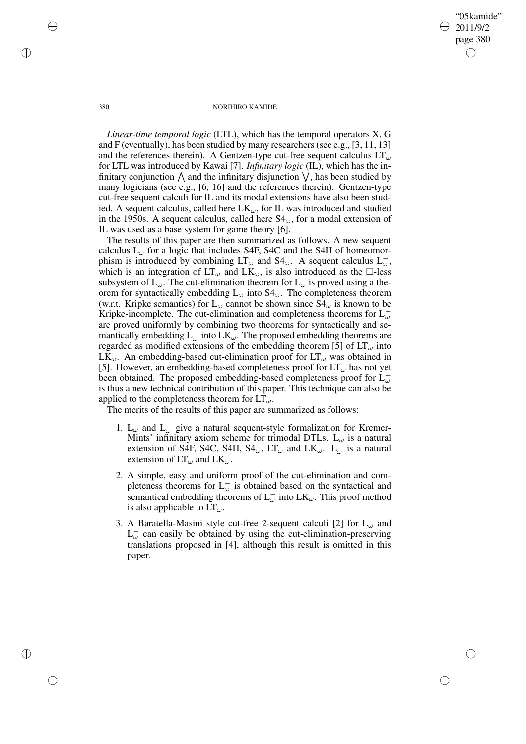"05kamide" 2011/9/2 page 380 ✐ ✐

✐

✐

#### 380 NORIHIRO KAMIDE

*Linear-time temporal logic* (LTL), which has the temporal operators X, G and F (eventually), has been studied by many researchers(see e.g., [3, 11, 13] and the references therein). A Gentzen-type cut-free sequent calculus  $LT_{\omega}$ for LTL was introduced by Kawai [7]. *Infinitary logic* (IL), which has the infinitary conjunction  $\bigwedge$  and the infinitary disjunction  $\bigvee$ , has been studied by many logicians (see e.g., [6, 16] and the references therein). Gentzen-type cut-free sequent calculi for IL and its modal extensions have also been studied. A sequent calculus, called here  $LK_{\omega}$ , for IL was introduced and studied in the 1950s. A sequent calculus, called here  $S4_{\omega}$ , for a modal extension of IL was used as a base system for game theory [6].

The results of this paper are then summarized as follows. A new sequent calculus  $L_{\omega}$  for a logic that includes S4F, S4C and the S4H of homeomorphism is introduced by combining  $LT_{\omega}$  and  $S4_{\omega}$ . A sequent calculus  $L_{\omega}^-$ , which is an integration of  $LT_{\omega}$  and  $LK_{\omega}$ , is also introduced as the  $\Box$ -less subsystem of  $L_{\omega}$ . The cut-elimination theorem for  $L_{\omega}$  is proved using a theorem for syntactically embedding  $L_{\omega}$  into  $S4_{\omega}$ . The completeness theorem (w.r.t. Kripke semantics) for  $L_{\omega}$  cannot be shown since  $S4_{\omega}$  is known to be Kripke-incomplete. The cut-elimination and completeness theorems for  $L_{\omega}^$ are proved uniformly by combining two theorems for syntactically and semantically embedding  $\dot{\mathsf{L}}_{\omega}^-$  into  $\mathsf{LK}_{\omega}$ . The proposed embedding theorems are regarded as modified extensions of the embedding theorem [5] of  $LT_{\omega}$  into  $LK_{\omega}$ . An embedding-based cut-elimination proof for  $LT_{\omega}$  was obtained in [5]. However, an embedding-based completeness proof for  $LT_{\omega}$  has not yet been obtained. The proposed embedding-based completeness proof for  $\dot{\mathsf{L}}_{\omega}^$ is thus a new technical contribution of this paper. This technique can also be applied to the completeness theorem for  $LT_{\omega}$ .

The merits of the results of this paper are summarized as follows:

- 1.  $L_{\omega}$  and  $L_{\omega}^-$  give a natural sequent-style formalization for Kremer-Mints' infinitary axiom scheme for trimodal DTLs.  $L_{\omega}$  is a natural extension of S4F, S4C, S4H, S4<sub>ω</sub>, LT<sub>ω</sub> and LK<sub>ω</sub>. L<sub>ω</sub> is a natural extension of  $LT_{\omega}$  and  $LK_{\omega}$ .
- 2. A simple, easy and uniform proof of the cut-elimination and completeness theorems for  $L_{\omega}^-$  is obtained based on the syntactical and semantical embedding theorems of  $L_{\omega}^-$  into  $LK_{\omega}$ . This proof method is also applicable to  $LT_{\omega}$ .
- 3. A Baratella-Masini style cut-free 2-sequent calculi [2] for  $L_{\omega}$  and  $L_{\omega}^-$  can easily be obtained by using the cut-elimination-preserving translations proposed in [4], although this result is omitted in this paper.

✐

✐

✐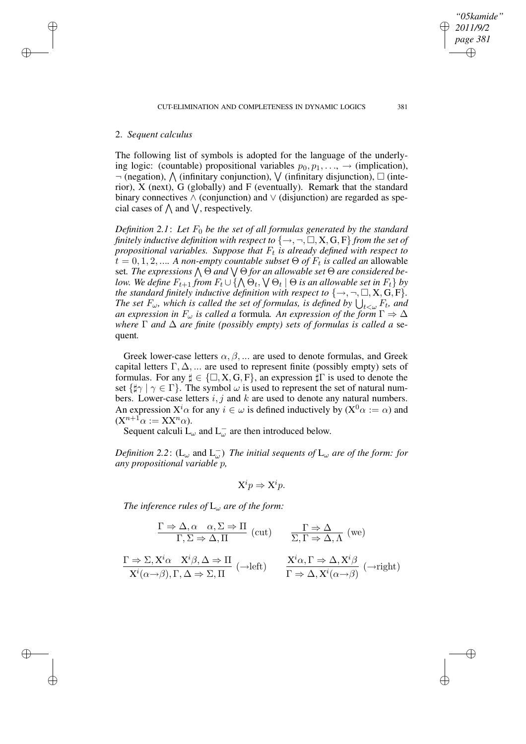✐

✐

✐

✐

The following list of symbols is adopted for the language of the underlying logic: (countable) propositional variables  $p_0, p_1, \ldots$ ,  $\rightarrow$  (implication),  $\neg$  (negation),  $\bigwedge$  (infinitary conjunction),  $\bigvee$  (infinitary disjunction),  $\square$  (interior), X (next), G (globally) and F (eventually). Remark that the standard binary connectives  $\wedge$  (conjunction) and  $\vee$  (disjunction) are regarded as special cases of  $\bigwedge$  and  $\bigvee$ , respectively.

*Definition* 2.1: Let  $F_0$  *be the set of all formulas generated by the standard finitely inductive definition with respect to*  $\{\rightarrow, \neg, \Box, X, G, F\}$  *from the set of propositional variables. Suppose that* F<sup>t</sup> *is already defined with respect to*  $t = 0, 1, 2, \dots$  *A non-empty countable subset*  $\Theta$  *of*  $F_t$  *is called an* allowable set. The expressions  $\bigwedge \Theta$  and  $\bigvee \Theta$  for an allowable set  $\Theta$  are considered below. We define  $F_{t+1}$  from  $F_t\cup\{\bigwedge\Theta_t,\bigvee\Theta_t\mid\Theta$  is an allowable set in  $F_t\}$  by *the standard finitely inductive definition with respect to*  $\{\rightarrow, \neg, \Box, X, G, F\}$ *. The set*  $F_\omega$ , which is called the set of formulas, is defined by  $\bigcup_{t<\omega} F_t$ , and *an expression in*  $F_{\omega}$  *is called a* formula. An *expression of the form*  $\Gamma \Rightarrow \Delta$ *where* Γ *and* ∆ *are finite (possibly empty) sets of formulas is called a* sequent*.*

Greek lower-case letters  $\alpha, \beta, \dots$  are used to denote formulas, and Greek capital letters  $\Gamma, \Delta, \dots$  are used to represent finite (possibly empty) sets of formulas. For any  $\sharp \in \{\square, X, G, F\}$ , an expression  $\sharp \Gamma$  is used to denote the set  $\{\sharp \gamma \mid \gamma \in \Gamma\}$ . The symbol  $\omega$  is used to represent the set of natural numbers. Lower-case letters  $i$ ,  $j$  and  $k$  are used to denote any natural numbers. An expression  $X^i \alpha$  for any  $i \in \omega$  is defined inductively by  $(X^0 \alpha := \alpha)$  and  $(X^{n+1}\alpha := XX^n\alpha).$ 

Sequent calculi  $L_{\omega}$  and  $L_{\omega}^-$  are then introduced below.

*Definition* 2.2:  $(L_{\omega}$  and  $L_{\omega}^-$ ) *The initial sequents of*  $L_{\omega}$  *are of the form: for any propositional variable* p*,*

$$
X^i p \Rightarrow X^i p.
$$

*The inference rules of*  $L_{\omega}$  *are of the form:* 

$$
\frac{\Gamma \Rightarrow \Delta, \alpha \quad \alpha, \Sigma \Rightarrow \Pi}{\Gamma, \Sigma \Rightarrow \Delta, \Pi} \text{ (cut)} \qquad \frac{\Gamma \Rightarrow \Delta}{\Sigma, \Gamma \Rightarrow \Delta, \Lambda} \text{ (we)}
$$

$$
\frac{\Gamma \Rightarrow \Sigma, X^i \alpha \quad X^i \beta, \Delta \Rightarrow \Pi}{X^i(\alpha \rightarrow \beta), \Gamma, \Delta \Rightarrow \Sigma, \Pi} \text{ (-left)} \qquad \frac{X^i \alpha, \Gamma \Rightarrow \Delta, X^i \beta}{\Gamma \Rightarrow \Delta, X^i(\alpha \rightarrow \beta)} \text{ (-right)}
$$

*"05kamide" 2011/9/2 page 381*

✐

✐

✐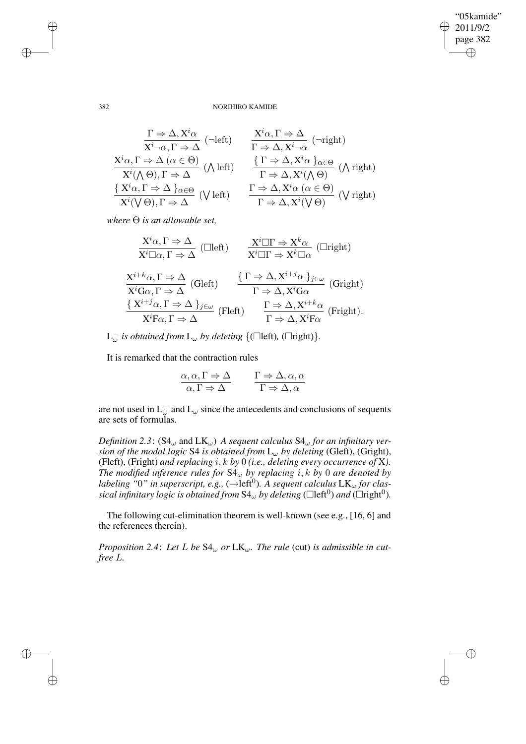$\bigoplus$ 

✐

#### 382 NORIHIRO KAMIDE

$$
\frac{\Gamma \Rightarrow \Delta, X^i \alpha}{X^i \neg \alpha, \Gamma \Rightarrow \Delta} \quad (\neg \text{left}) \qquad \frac{X^i \alpha, \Gamma \Rightarrow \Delta}{\Gamma \Rightarrow \Delta, X^i \neg \alpha} \quad (\neg \text{right})
$$
\n
$$
\frac{X^i \alpha, \Gamma \Rightarrow \Delta \ (\alpha \in \Theta)}{X^i (\wedge \Theta), \Gamma \Rightarrow \Delta} \quad (\wedge \text{left}) \qquad \frac{\{\Gamma \Rightarrow \Delta, X^i \alpha\}_{\alpha \in \Theta}}{\Gamma \Rightarrow \Delta, X^i (\wedge \Theta)} \quad (\wedge \text{right})
$$
\n
$$
\frac{\{X^i \alpha, \Gamma \Rightarrow \Delta\}_{\alpha \in \Theta}}{X^i (\vee \Theta), \Gamma \Rightarrow \Delta} \quad (\vee \text{left}) \qquad \frac{\Gamma \Rightarrow \Delta, X^i \alpha \ (\alpha \in \Theta)}{\Gamma \Rightarrow \Delta, X^i (\vee \Theta)} \quad (\vee \text{right})
$$

*where* Θ *is an allowable set,*

$$
\frac{X^{i}\alpha,\Gamma \Rightarrow \Delta}{X^{i}\square\alpha,\Gamma \Rightarrow \Delta} \text{ (Clleft)} \qquad \frac{X^{i}\square\Gamma \Rightarrow X^{k}\alpha}{X^{i}\square\Gamma \Rightarrow X^{k}\square\alpha} \text{ (Lright)}
$$
\n
$$
\frac{X^{i+k}\alpha,\Gamma \Rightarrow \Delta}{X^{i}G\alpha,\Gamma \Rightarrow \Delta} \text{ (Gleft)} \qquad \frac{\{\Gamma \Rightarrow \Delta, X^{i+j}\alpha\}_{j\in\omega}}{\Gamma \Rightarrow \Delta, X^{i}G\alpha} \text{ (Gright)}
$$
\n
$$
\frac{\{X^{i+j}\alpha,\Gamma \Rightarrow \Delta\}_{j\in\omega}}{X^{i}\Gamma\alpha,\Gamma \Rightarrow \Delta} \text{ (Fleft)} \qquad \frac{\Gamma \Rightarrow \Delta, X^{i+k}\alpha}{\Gamma \Rightarrow \Delta, X^{i}\Gamma\alpha} \text{ (Fright)}.
$$

 $L_{\omega}^-$  *is obtained from*  $L_{\omega}$  *by deleting*  $\{(\Box \text{left}), (\Box \text{right})\}.$ 

It is remarked that the contraction rules

$$
\frac{\alpha, \alpha, \Gamma \Rightarrow \Delta}{\alpha, \Gamma \Rightarrow \Delta} \qquad \frac{\Gamma \Rightarrow \Delta, \alpha, \alpha}{\Gamma \Rightarrow \Delta, \alpha}
$$

are not used in  $L_{\omega}^-$  and  $L_{\omega}$  since the antecedents and conclusions of sequents are sets of formulas.

*Definition* 2.3:  $(S4_{\omega} \text{ and } LK_{\omega})$  *A sequent calculus*  $S4_{\omega}$  *for an infinitary version of the modal logic* S4 *is obtained from* L<sup>ω</sup> *by deleting* (Gleft), (Gright), (Fleft), (Fright) *and replacing* i, k *by* 0 *(i.e., deleting every occurrence of* X*). The modified inference rules for*  $S4_\omega$  *by replacing i, k by* 0 *are denoted by labeling* "0" *in superscript, e.g.,* ( $\rightarrow$ left<sup>0</sup>). A sequent calculus  $LK_{\omega}$  for clas- $\delta$  *sical infinitary logic is obtained from*  $\delta 4_{\omega}$  *by deleting* ( $\Box$ left<sup>0</sup>) *and* ( $\Box$ right<sup>0</sup>).

The following cut-elimination theorem is well-known (see e.g., [16, 6] and the references therein).

*Proposition* 2.4: Let L be  $S4_{\omega}$  or  $LK_{\omega}$ . The rule (cut) *is admissible in cutfree* L*.*

✐

✐

✐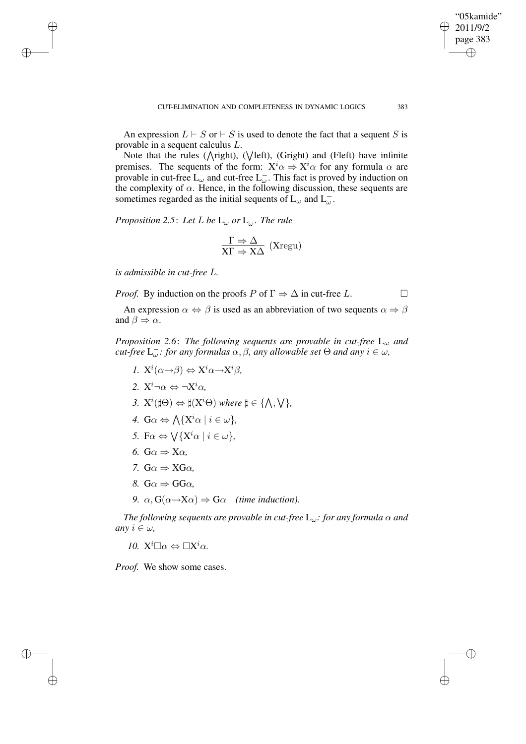An expression  $L \vdash S$  or  $\vdash S$  is used to denote the fact that a sequent S is provable in a sequent calculus L.

Note that the rules ( $\triangle$ right), ( $\vee$ left), (Gright) and (Fleft) have infinite premises. The sequents of the form:  $X^i \alpha \Rightarrow X^i \alpha$  for any formula  $\alpha$  are provable in cut-free  $\text{L}_{\omega}$  and cut-free  $\text{L}_{\omega}^-$ . This fact is proved by induction on the complexity of  $\alpha$ . Hence, in the following discussion, these sequents are sometimes regarded as the initial sequents of  $L_{\omega}$  and  $L_{\omega}^-$ .

*Proposition* 2.5: Let L be  $L_{\omega}$  or  $L_{\omega}^-$ . The rule

$$
\frac{\Gamma \Rightarrow \Delta}{X\Gamma \Rightarrow X\Delta}~(Xregu)
$$

*is admissible in cut-free* L*.*

✐

✐

✐

✐

*Proof.* By induction on the proofs  $P$  of  $\Gamma \Rightarrow \Delta$  in cut-free L.

An expression  $\alpha \Leftrightarrow \beta$  is used as an abbreviation of two sequents  $\alpha \Rightarrow \beta$ and  $\beta \Rightarrow \alpha$ .

*Proposition* 2.6: *The following sequents are provable in cut-free*  $L_{\omega}$  *and*  $cut$ -free  $L_{\omega}^-$ : for any formulas  $\alpha, \beta$ , any allowable set  $\Theta$  and any  $i \in \omega$ ,

- *1.*  $X^{i}(\alpha \rightarrow \beta) \Leftrightarrow X^{i}\alpha \rightarrow X^{i}\beta$ ,
- 2.  $X^i \neg \alpha \Leftrightarrow \neg X^i \alpha$ ,
- 3.  $X^{i}(\sharp\Theta) \Leftrightarrow \sharp(X^{i}\Theta)$  where  $\sharp \in \{\bigwedge, \bigvee\},$
- *4.*  $\mathbf{G}\alpha \Leftrightarrow \bigwedge \{ \mathbf{X}^i \alpha \mid i \in \omega \},\$
- *5.* F $\alpha \Leftrightarrow \bigvee \{ \mathrm{X}^i \alpha \mid i \in \omega \},$
- *6.* G $\alpha \Rightarrow X\alpha$
- *7.*  $G\alpha \Rightarrow XG\alpha$
- *8.*  $G\alpha \Rightarrow G\alpha$ .
- *9.*  $\alpha$ ,  $G(\alpha \rightarrow X\alpha) \Rightarrow G\alpha$  *(time induction).*

*The following sequents are provable in cut-free* Lω*: for any formula* α *and any*  $i \in \omega$ *,* 

*10.*  $X^i \Box \alpha \Leftrightarrow \Box X^i \alpha$ .

*Proof.* We show some cases.

"05kamide" 2011/9/2 page 383

✐

✐

✐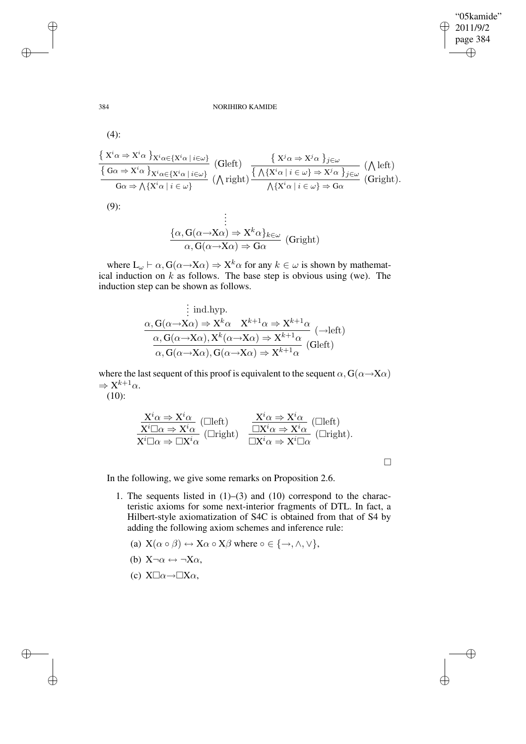#### 384 NORIHIRO KAMIDE

(4):

$$
\frac{\{X^i\alpha \Rightarrow X^i\alpha\}_{X^i\alpha \in \{X^i\alpha \mid i \in \omega\}}}{\{G\alpha \Rightarrow X^i\alpha\}_{X^i\alpha \in \{X^i\alpha \mid i \in \omega\}}}
$$
 (Gleft)  
\n
$$
\frac{\{X^j\alpha \Rightarrow X^j\alpha\}_{j \in \omega}}{\{G\alpha \Rightarrow \bigwedge\{X^i\alpha \mid i \in \omega\}}}
$$
 (Gleft)  
\n
$$
\frac{\{\bigwedge X^i\alpha \Rightarrow X^j\alpha\}_{j \in \omega}}{\{X^i\alpha \mid i \in \omega\}} \xrightarrow{\{X^i\alpha \mid i \in \omega\} \Rightarrow X^j\alpha\}_{j \in \omega}}
$$
 (A left)  
\n
$$
\frac{\{\bigwedge X^i\alpha \Rightarrow X^j\alpha\}_{j \in \omega}}{\{X^i\alpha \mid i \in \omega\}} \xrightarrow{\{X^i\alpha \mid i \in \omega\}} \mathcal{A}
$$

(9):

$$
\begin{array}{c}\n\vdots \\
\{\alpha, G(\alpha \to X\alpha) \Rightarrow X^k \alpha\}_{k \in \omega} \\
\alpha, G(\alpha \to X\alpha) \Rightarrow G\alpha\n\end{array}
$$
(Gright)

where  $L_{\omega} \vdash \alpha$ ,  $G(\alpha \rightarrow X\alpha) \Rightarrow X^k \alpha$  for any  $k \in \omega$  is shown by mathematical induction on  $\vec{k}$  as follows. The base step is obvious using (we). The induction step can be shown as follows.

$$
\begin{aligned}\n&\vdots \text{ ind.hyp.} \\
&\alpha, G(\alpha \to X\alpha) \Rightarrow X^k \alpha \quad X^{k+1} \alpha \Rightarrow X^{k+1} \alpha \\
&\alpha, G(\alpha \to X\alpha), X^k(\alpha \to X\alpha) \Rightarrow X^{k+1} \alpha \\
&\alpha, G(\alpha \to X\alpha), G(\alpha \to X\alpha) \Rightarrow X^{k+1} \alpha\n\end{aligned} (\text{Gleft})
$$

where the last sequent of this proof is equivalent to the sequent  $\alpha$ ,  $G(\alpha \rightarrow X\alpha)$  $\Rightarrow$  X<sup>k+1</sup> $\alpha$ .

(10):

$$
\frac{X^i \alpha \Rightarrow X^i \alpha}{X^i \Box \alpha \Rightarrow X^i \alpha} \begin{array}{cc}\n\text{(Cleff)} & \frac{X^i \alpha \Rightarrow X^i \alpha}{\Box X^i \alpha \Rightarrow X^i \alpha} \begin{array}{c}\n\text{(Cleff)} \\
\overline{X^i \Box \alpha \Rightarrow \Box X^i \alpha}\n\end{array}\n\end{array}
$$

 $\Box$ 

 $\bigoplus$ 

✐

In the following, we give some remarks on Proposition 2.6.

- 1. The sequents listed in (1)–(3) and (10) correspond to the characteristic axioms for some next-interior fragments of DTL. In fact, a Hilbert-style axiomatization of S4C is obtained from that of S4 by adding the following axiom schemes and inference rule:
	- (a)  $X(\alpha \circ \beta) \leftrightarrow X\alpha \circ X\beta$  where  $\circ \in \{\rightarrow, \land, \lor\},\$
	- (b)  $X\neg \alpha \leftrightarrow \neg X\alpha$ ,
	- (c)  $X\square \alpha \rightarrow \square X\alpha$ ,

✐

✐

✐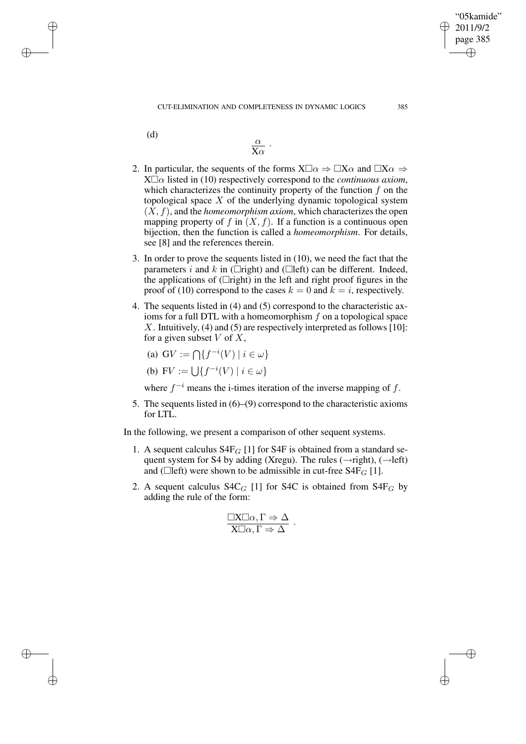(d)

✐

✐

✐

✐

$$
\frac{\alpha}{\mathbf{X}\alpha}
$$
 .

- 2. In particular, the sequents of the forms  $X\square \alpha \Rightarrow \square X\alpha$  and  $\square X\alpha \Rightarrow$  $X\square \alpha$  listed in (10) respectively correspond to the *continuous axiom*, which characterizes the continuity property of the function  $f$  on the topological space  $X$  of the underlying dynamic topological system  $(X, f)$ , and the *homeomorphism axiom*, which characterizes the open mapping property of f in  $(X, f)$ . If a function is a continuous open bijection, then the function is called a *homeomorphism*. For details, see [8] and the references therein.
- 3. In order to prove the sequents listed in (10), we need the fact that the parameters i and k in ( $\Box$ right) and ( $\Box$ left) can be different. Indeed, the applications of ( $\Box$ right) in the left and right proof figures in the proof of (10) correspond to the cases  $k = 0$  and  $k = i$ , respectively.
- 4. The sequents listed in (4) and (5) correspond to the characteristic axioms for a full DTL with a homeomorphism  $f$  on a topological space X. Intuitively, (4) and (5) are respectively interpreted as follows [10]: for a given subset  $V$  of  $X$ ,

(a) 
$$
GV := \bigcap \{f^{-i}(V) \mid i \in \omega\}
$$

(b) 
$$
FV := \bigcup \{ f^{-i}(V) \mid i \in \omega \}
$$

where  $f^{-i}$  means the i-times iteration of the inverse mapping of f.

5. The sequents listed in (6)–(9) correspond to the characteristic axioms for LTL.

In the following, we present a comparison of other sequent systems.

- 1. A sequent calculus  $S4F_G$  [1] for S4F is obtained from a standard sequent system for S4 by adding (Xregu). The rules ( $\rightarrow$ right), ( $\rightarrow$ left) and ( $\Box$ left) were shown to be admissible in cut-free S4F<sub>G</sub> [1].
- 2. A sequent calculus  $S4C_G$  [1] for S4C is obtained from  $S4F_G$  by adding the rule of the form:

$$
\frac{\Box X \Box \alpha, \Gamma \Rightarrow \Delta}{X \Box \alpha, \Gamma \Rightarrow \Delta}.
$$

"05kamide" 2011/9/2 page 385

✐

✐

✐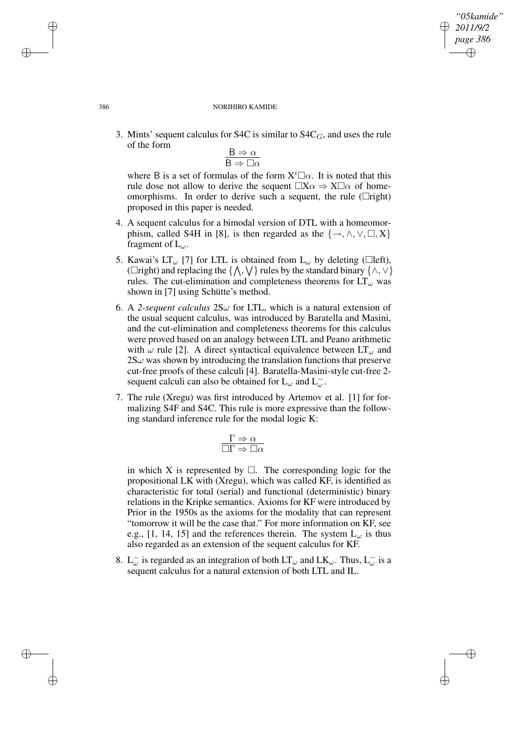## *"05kamide" 2011/9/2 page 386* ✐ ✐

✐

✐

#### 386 NORIHIRO KAMIDE

3. Mints' sequent calculus for S4C is similar to  $S4C_G$ , and uses the rule of the form

$$
\frac{B\Rightarrow \alpha}{B\Rightarrow \Box \alpha}
$$

where B is a set of formulas of the form  $X^i\Box\alpha$ . It is noted that this rule dose not allow to derive the sequent  $\Box X\alpha \Rightarrow X\Box \alpha$  of homeomorphisms. In order to derive such a sequent, the rule ( $\Box$ right) proposed in this paper is needed.

- 4. A sequent calculus for a bimodal version of DTL with a homeomorphism, called S4H in [8], is then regarded as the  $\{\rightarrow, \land, \lor, \Box, X\}$ fragment of  $L_{\omega}$ .
- 5. Kawai's LT<sub>ω</sub> [7] for LTL is obtained from L<sub>ω</sub> by deleting ( $\Box$ left), ( $\Box$ right) and replacing the { $\Lambda$ ,  $\forall$ } rules by the standard binary { $\land$ ,  $\lor$ } rules. The cut-elimination and completeness theorems for  $LT_{\omega}$  was shown in [7] using Schütte's method.
- 6. A 2-sequent calculus  $2S\omega$  for LTL, which is a natural extension of the usual sequent calculus, was introduced by Baratella and Masini, and the cut-elimination and completeness theorems for this calculus were proved based on an analogy between LTL and Peano arithmetic with  $\omega$  rule [2]. A direct syntactical equivalence between  $LT_{\omega}$  and  $2S\omega$  was shown by introducing the translation functions that preserve cut-free proofs of these calculi [4]. Baratella-Masini-style cut-free 2 sequent calculi can also be obtained for  $L_{\omega}$  and  $L_{\omega}^-$ .
- 7. The rule (Xregu) was first introduced by Artemov et al. [1] for formalizing S4F and S4C. This rule is more expressive than the following standard inference rule for the modal logic K:

$$
\frac{\Gamma \Rightarrow \alpha}{\Box \Gamma \Rightarrow \Box \alpha}
$$

in which X is represented by  $\Box$ . The corresponding logic for the propositional LK with (Xregu), which was called KF, is identified as characteristic for total (serial) and functional (deterministic) binary relations in the Kripke semantics. Axioms for KF were introduced by Prior in the 1950s as the axioms for the modality that can represent "tomorrow it will be the case that." For more information on KF, see e.g., [1, 14, 15] and the references therein. The system  $L_{\omega}$  is thus also regarded as an extension of the sequent calculus for KF.

8.  $L_{\omega}^-$  is regarded as an integration of both  $LT_{\omega}$  and  $LK_{\omega}$ . Thus,  $L_{\omega}^-$  is a sequent calculus for a natural extension of both LTL and IL.

✐

✐

✐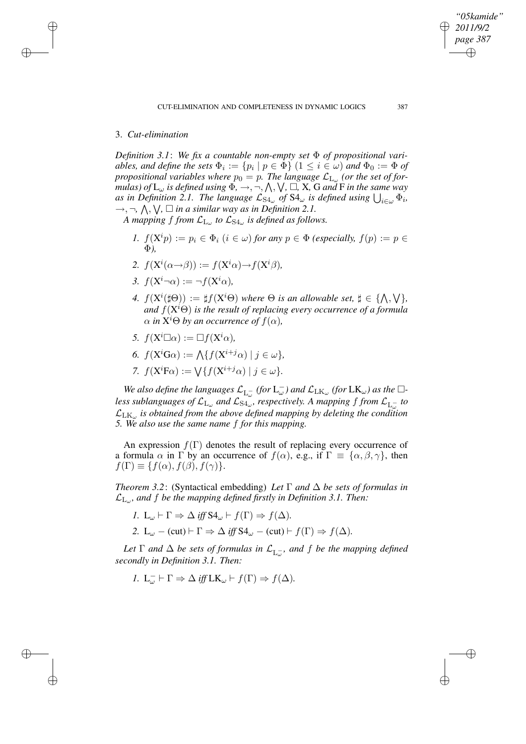# 3. *Cut-elimination*

✐

✐

✐

✐

*Definition* 3.1: We fix a countable non-empty set  $\Phi$  of propositional vari $ables,$  and  $define$  the sets  $\Phi_i := \{p_i \mid p \in \Phi\}$   $(1 \leq i \in \omega)$  and  $\Phi_0 := \Phi$  of *propositional variables where*  $p_0 = p$ . The language  $\mathcal{L}_{\mathrm{L}_{\omega}}$  (or the set of for $mulas)$  *of*  $L_{\omega}$  *is defined using*  $\Phi, \rightarrow, \neg, \bigwedge, \bigvee, \square, X$ , G *and* F *in the same* way *as in Definition 2.1. The language*  $\mathcal{L}_{S4\omega}$  *of*  $S4\omega$  *is defined using*  $\bigcup_{i\in\omega}\Phi_i$ *,*  $\rightarrow$ ,  $\neg$ ,  $\wedge$ ,  $\vee$ ,  $\square$  *in a similar way as in Definition 2.1.* 

A mapping  $f$  from  $\mathcal{L}_{L_{\omega}}$  to  $\mathcal{L}_{S4_{\omega}}$  is defined as follows.

- *1.*  $f(X^i p) := p_i \in \Phi_i$   $(i \in \omega)$  *for any*  $p \in \Phi$  *(especially,*  $f(p) := p \in \Theta$ Φ*),*
- 2.  $f(\mathbf{X}^i(\alpha \rightarrow \beta)) := f(\mathbf{X}^i \alpha) \rightarrow f(\mathbf{X}^i \beta)$ ,
- 3.  $f(X^i \neg \alpha) := \neg f(X^i \alpha)$ ,
- *4.*  $f(X^{i}(\sharp \Theta)) := \sharp f(X^{i}\Theta)$  *where*  $\Theta$  *is an allowable set,*  $\sharp \in {\{\land, \forall\}}$ *, and* f(X <sup>i</sup>Θ) *is the result of replacing every occurrence of a formula*  $\alpha$  *in*  $X^{i}\Theta$  *by an occurrence of*  $f(\alpha)$ *,*
- *5.*  $f(X^i \Box \alpha) := \Box f(X^i \alpha)$ ,
- 6.  $f(\mathbf{X}^i\mathbf{G}\alpha) := \bigwedge \{ f(\mathbf{X}^{i+j}\alpha) \mid j \in \omega \},$
- 7.  $f(\mathbf{X}^i \mathbf{F} \alpha) := \bigvee \{ f(\mathbf{X}^{i+j} \alpha) \mid j \in \omega \}.$

*We* also define the languages  $\mathcal{L}_{L_{\omega}^-}$  (for  $L_{\omega}^-$ ) and  $\mathcal{L}_{LK_{\omega}}$  (for  $LK_{\omega}$ ) as the  $\Box$ less sublanguages of  $\mathcal{L}_{L_{\omega}}$  and  $\mathcal{L}_{S4_{\omega}}$ , respectively. A mapping f from  $\mathcal{L}_{L_{\omega}^-}$  to LLK<sup>ω</sup> *is obtained from the above defined mapping by deleting the condition 5. We also use the same name* f *for this mapping.*

An expression  $f(\Gamma)$  denotes the result of replacing every occurrence of a formula  $\alpha$  in  $\Gamma$  by an occurrence of  $f(\alpha)$ , e.g., if  $\Gamma \equiv {\alpha, \beta, \gamma}$ , then  $f(\Gamma) \equiv \{f(\alpha), f(\beta), f(\gamma)\}.$ 

*Theorem 3.2*: (Syntactical embedding) *Let* Γ *and* ∆ *be sets of formulas in* LL<sup>ω</sup> *, and* f *be the mapping defined firstly in Definition 3.1. Then:*

*1.*  $L_{\omega} \vdash \Gamma \Rightarrow \Delta \text{ iff } S4_{\omega} \vdash f(\Gamma) \Rightarrow f(\Delta)$ . 2. L<sub>ω</sub> – (cut)  $\vdash \Gamma \Rightarrow \Delta$  *iff*  $S4_{\omega}$  – (cut)  $\vdash f(\Gamma) \Rightarrow f(\Delta)$ .

Let  $\Gamma$  *and*  $\Delta$  *be sets of formulas in*  $\mathcal{L}_{L_{\omega}}$ *, and f be the mapping defined secondly in Definition 3.1. Then:*

$$
I. L_{\omega}^- \vdash \Gamma \Rightarrow \Delta \text{ iff } \mathbf{LK}_{\omega} \vdash f(\Gamma) \Rightarrow f(\Delta).
$$

*"05kamide" 2011/9/2 page 387*

✐

✐

✐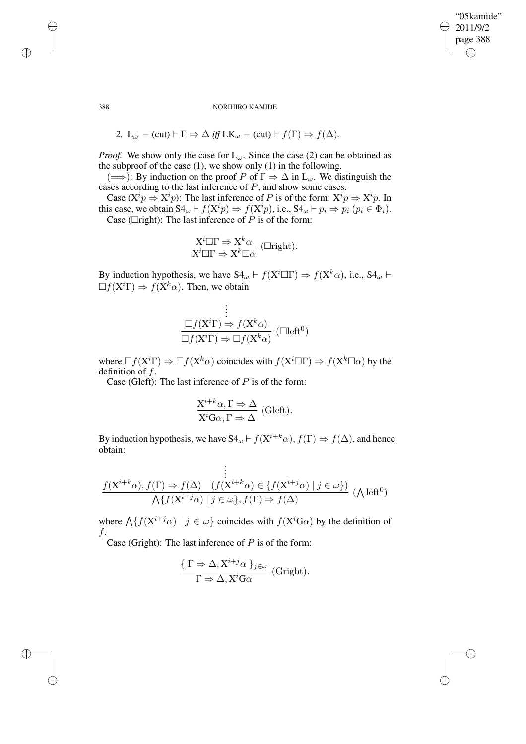"05kamide" 2011/9/2 page 388 ✐ ✐

✐

✐

#### 388 NORIHIRO KAMIDE

2. 
$$
L_{\omega}^-
$$
 - (cut)  $\vdash \Gamma \Rightarrow \Delta$  *iff*  $LK_{\omega}$  - (cut)  $\vdash f(\Gamma) \Rightarrow f(\Delta)$ .

*Proof.* We show only the case for  $L_{\omega}$ . Since the case (2) can be obtained as the subproof of the case  $(1)$ , we show only  $(1)$  in the following.

 $(\Longrightarrow)$ : By induction on the proof P of  $\Gamma \Rightarrow \Delta$  in L<sub>ω</sub>. We distinguish the cases according to the last inference of P, and show some cases.

Case ( $X^i p \Rightarrow X^i p$ ): The last inference of P is of the form:  $X^i p \Rightarrow X^i p$ . In this case, we obtain  $S4_\omega \vdash f(X^i p) \Rightarrow f(X^i p)$ , i.e.,  $S4_\omega \vdash p_i \Rightarrow p_i (p_i \in \Phi_i)$ . Case ( $\Box$ right): The last inference of  $\overrightarrow{P}$  is of the form:

$$
\frac{X^{i}\Box\Gamma\Rightarrow X^{k}\alpha}{X^{i}\Box\Gamma\Rightarrow X^{k}\Box\alpha} \text{ (Lright).}
$$

By induction hypothesis, we have  $S4_{\omega} \vdash f(X^i \square \Gamma) \Rightarrow f(X^k \alpha)$ , i.e.,  $S4_{\omega} \vdash$  $\Box f(X^i\Gamma) \Rightarrow f(X^k\alpha)$ . Then, we obtain

$$
\vdots
$$
\n
$$
\frac{\Box f(X^i\Gamma) \Rightarrow f(X^k\alpha)}{\Box f(X^i\Gamma) \Rightarrow \Box f(X^k\alpha)} (\Box \text{left}^0)
$$

where  $\Box f(X^i\Gamma) \Rightarrow \Box f(X^k\alpha)$  coincides with  $f(X^i\Box\Gamma) \Rightarrow f(X^k\Box\alpha)$  by the definition of  $f$ .

Case (Gleft): The last inference of  $P$  is of the form:

$$
\frac{X^{i+k}\alpha, \Gamma \Rightarrow \Delta}{X^i G\alpha, \Gamma \Rightarrow \Delta}
$$
 (Gleft).

By induction hypothesis, we have S4<sub>ω</sub>  $\vdash f(X^{i+k}\alpha)$ ,  $f(\Gamma) \Rightarrow f(\Delta)$ , and hence obtain:

. . . . f(X <sup>i</sup>+kα), f(Γ) ⇒ f(∆) (f(X <sup>i</sup>+kα) ∈ {f(X <sup>i</sup>+jα) | j ∈ ω}) V {f(X <sup>i</sup>+jα) | j ∈ ω}, f(Γ) ⇒ f(∆) ( V left<sup>0</sup> )

where  $\bigwedge \{f(X^{i+j}\alpha) \mid j \in \omega\}$  coincides with  $f(X^iG\alpha)$  by the definition of  $f$ .

Case (Gright): The last inference of  $P$  is of the form:

$$
\frac{\{\Gamma \Rightarrow \Delta, X^{i+j}\alpha\}_{j\in\omega}}{\Gamma \Rightarrow \Delta, X^i \mathbf{G}\alpha}
$$
 (Gright).

✐

✐

✐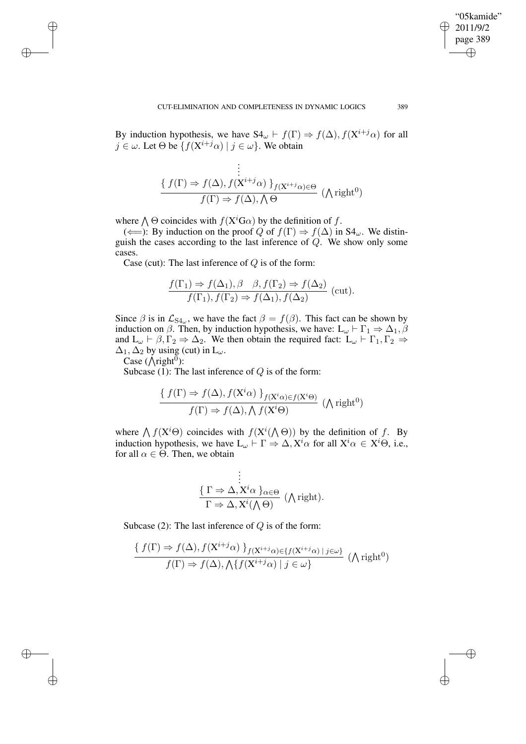✐

✐

By induction hypothesis, we have  $S4_{\omega} \vdash f(\Gamma) \Rightarrow f(\Delta), f(X^{i+j}\alpha)$  for all  $j \in \omega$ . Let  $\Theta$  be  $\{f(\mathbf{X}^{i+j}\alpha) \mid j \in \omega\}$ . We obtain

$$
\frac{\begin{aligned}\n&\vdots \\
&\{f(\Gamma) \Rightarrow f(\Delta), f(\mathbf{X}^{i+j}\alpha) \} _{f(\mathbf{X}^{i+j}\alpha) \in \Theta} \\
&\qquad f(\Gamma) \Rightarrow f(\Delta), \Lambda \Theta\n\end{aligned}} (\Lambda \text{right}^0)
$$

where  $\bigwedge \Theta$  coincides with  $f(X^i \text{G}\alpha)$  by the definition of f.

( $\Longleftarrow$ ): By induction on the proof Q of  $f(\Gamma) \Rightarrow f(\Delta)$  in S4<sub>ω</sub>. We distinguish the cases according to the last inference of  $Q$ . We show only some cases.

Case (cut): The last inference of  $Q$  is of the form:

$$
\frac{f(\Gamma_1) \Rightarrow f(\Delta_1), \beta \quad \beta, f(\Gamma_2) \Rightarrow f(\Delta_2)}{f(\Gamma_1), f(\Gamma_2) \Rightarrow f(\Delta_1), f(\Delta_2)} \text{ (cut)}.
$$

Since  $\beta$  is in  $\mathcal{L}_{S4_{\omega}}$ , we have the fact  $\beta = f(\beta)$ . This fact can be shown by induction on  $\beta$ . Then, by induction hypothesis, we have: L<sub>ω</sub>  $\vdash \Gamma_1 \Rightarrow \Delta_1, \beta$ and  $L_{\omega} \vdash \beta, \Gamma_2 \Rightarrow \Delta_2$ . We then obtain the required fact:  $L_{\omega} \vdash \Gamma_1, \Gamma_2 \Rightarrow$  $\Delta_1$ ,  $\Delta_2$  by using (cut) in  $L_\omega$ .

Case  $(\overline{\wedge}$ right<sup>0</sup>):

✐

✐

✐

✐

Subcase (1): The last inference of  $Q$  is of the form:

$$
\frac{\{ f(\Gamma) \Rightarrow f(\Delta), f(X^i \alpha) \}_{f(X^i \alpha) \in f(X^i \Theta)}}{f(\Gamma) \Rightarrow f(\Delta), \bigwedge f(X^i \Theta)
$$
 ( $\bigwedge$  right<sup>0</sup>)

where  $\bigwedge f(X^i\Theta)$  coincides with  $f(X^i(\bigwedge \Theta))$  by the definition of f. By induction hypothesis, we have  $L_{\omega} \vdash \Gamma \Rightarrow \Delta, X^i \alpha$  for all  $X^i \alpha \in X^i \Theta$ , i.e., for all  $\alpha \in \Theta$ . Then, we obtain

$$
\begin{array}{c}\n\vdots \\
\{\Gamma \Rightarrow \Delta, X^i \alpha\}_{\alpha \in \Theta} \\
\Gamma \Rightarrow \Delta, X^i (\bigwedge \Theta)\n\end{array} (\bigwedge \text{right}).
$$

Subcase (2): The last inference of  $Q$  is of the form:

$$
\frac{\{f(\Gamma) \Rightarrow f(\Delta), f(\mathbf{X}^{i+j}\alpha)\}_{f(\mathbf{X}^{i+j}\alpha)\in\{f(\mathbf{X}^{i+j}\alpha)\mid j\in\omega\}}}{f(\Gamma) \Rightarrow f(\Delta), \bigwedge\{f(\mathbf{X}^{i+j}\alpha)\mid j\in\omega\}} \ (\text{Right}^0)
$$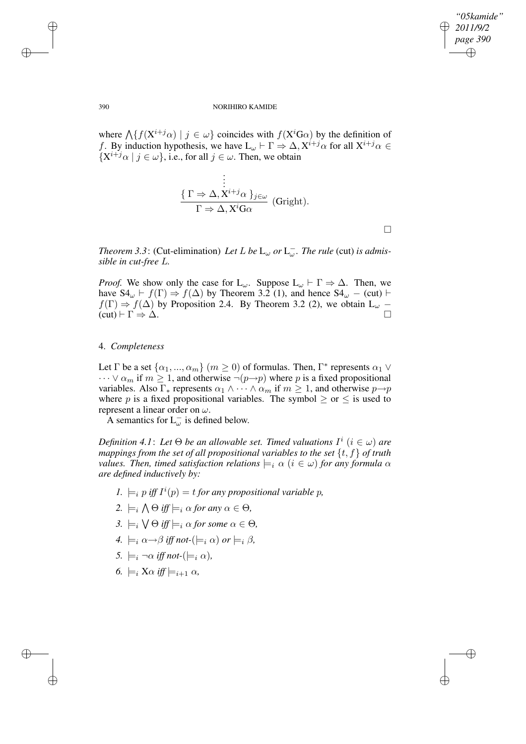*"05kamide" 2011/9/2 page 390* ✐ ✐

✐

✐

#### 390 NORIHIRO KAMIDE

where  $\bigwedge \{f(X^{i+j}\alpha) \mid j \in \omega\}$  coincides with  $f(X^iG\alpha)$  by the definition of f. By induction hypothesis, we have  $L_{\omega} \vdash \Gamma \Rightarrow \Delta, X^{i+j} \alpha$  for all  $X^{i+j} \alpha \in$  $\{X^{i+j}\alpha \mid j \in \omega\}$ , i.e., for all  $j \in \omega$ . Then, we obtain

.

$$
\frac{\vdots}{\Gamma \Rightarrow \Delta, X^{i+j}\alpha \}}_{\Gamma \Rightarrow \Delta, X^{i}G\alpha} \text{ (Gright)}.
$$

 $\Box$ 

*Theorem* 3.3: (Cut-elimination) *Let*  $L$  *be*  $L_{\omega}$  *or*  $L_{\omega}^-$ *. The rule* (cut) *is admissible in cut-free* L*.*

*Proof.* We show only the case for  $L_{\omega}$ . Suppose  $L_{\omega} \vdash \Gamma \Rightarrow \Delta$ . Then, we have  $S4_{\omega} \vdash f(\Gamma) \Rightarrow f(\Delta)$  by Theorem 3.2 (1), and hence  $S4_{\omega}$  – (cut)  $\vdash$  $f(\Gamma) \Rightarrow f(\Delta)$  by Proposition 2.4. By Theorem 3.2 (2), we obtain  $L_{\omega}$  –  $f(\text{cut}) \vdash \Gamma \Rightarrow \Delta$  $(cut) \vdash \Gamma \Rightarrow \Delta$ .

## 4. *Completeness*

Let  $\Gamma$  be a set  $\{\alpha_1, ..., \alpha_m\}$   $(m \ge 0)$  of formulas. Then,  $\Gamma^*$  represents  $\alpha_1 \vee$  $\cdots \vee \alpha_m$  if  $m \geq 1$ , and otherwise  $\neg(p \rightarrow p)$  where p is a fixed propositional variables. Also  $\Gamma_*$  represents  $\alpha_1 \wedge \cdots \wedge \alpha_m$  if  $m \geq 1$ , and otherwise  $p \rightarrow p$ where p is a fixed propositional variables. The symbol  $\geq$  or  $\leq$  is used to represent a linear order on  $\omega$ .

A semantics for  $L_{\omega}^-$  is defined below.

*Definition* 4.1: Let  $\Theta$  *be an allowable set. Timed valuations*  $I^i$   $(i \in \omega)$  are *mappings from the set of all propositional variables to the set* {t, f} *of truth values. Then, timed satisfaction relations*  $\models_i \alpha$  ( $i \in \omega$ ) *for any formula*  $\alpha$ *are defined inductively by:*

- 1.  $\models_i p$  iff  $I^i(p) = t$  *for any propositional variable p,*
- 2.  $\models_i \bigwedge \Theta \text{ iff } \models_i \alpha \text{ for any } \alpha \in \Theta,$
- 3.  $\models_i \bigvee \Theta \text{ iff } \models_i \alpha \text{ for some } \alpha \in \Theta,$
- *4.*  $\models_i \alpha \rightarrow \beta$  *iff not-*( $\models_i \alpha$ ) *or*  $\models_i \beta$ ,
- *5.*  $\models_i \neg \alpha \text{ iff } not \text{-(} \models_i \alpha \text{)}$
- *6.*  $\models_i$  X $\alpha$  *iff*  $\models_{i+1}$   $\alpha$ *,*

✐

✐

✐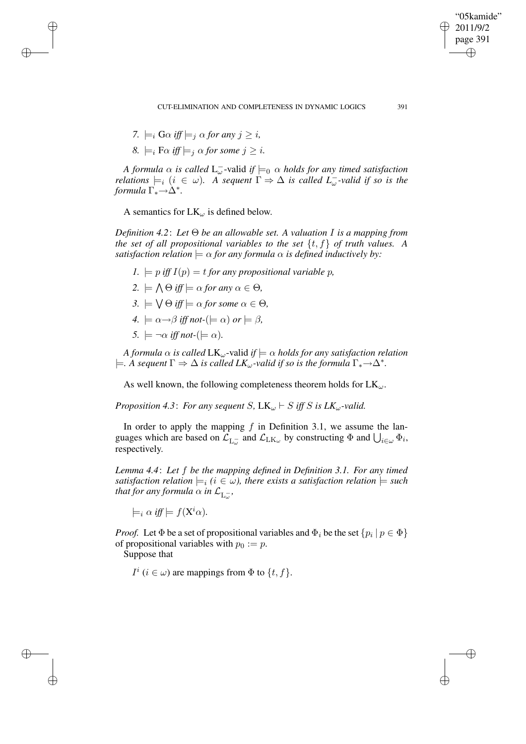CUT-ELIMINATION AND COMPLETENESS IN DYNAMIC LOGICS 391

7. 
$$
\models_i G \alpha
$$
 iff  $\models_j \alpha$  for any  $j \geq i$ ,

✐

✐

✐

✐

 $8. \models_i \text{F}\alpha \text{ iff } \models_i \alpha \text{ for some } j \geq i.$ 

*A formula*  $\alpha$  *is called*  $L_{\omega}^-$ -valid *if*  $\models_0$   $\alpha$  *holds for any timed satisfaction relations*  $\models_i (i \in \omega)$ *. A sequent*  $\Gamma \Rightarrow \Delta$  *is called*  $L_{\omega}^-$ -valid *if so is the*  $formula \Gamma_* \rightarrow \Delta^*.$ 

A semantics for  $LK_{\omega}$  is defined below.

*Definition 4.2*: *Let* Θ *be an allowable set. A valuation* I *is a mapping from the set of all propositional variables to the set*  $\{t, f\}$  *of truth values. A satisfaction relation*  $\models \alpha$  *for any formula*  $\alpha$  *is defined inductively by:* 

- *1.*  $\models$  *p iff*  $I(p) = t$  *for any propositional variable p,*
- $2. \models \bigwedge \Theta \text{ iff } \models \alpha \text{ for any } \alpha \in \Theta,$
- $3. \models \bigvee \Theta \text{ iff } \models \alpha \text{ for some } \alpha \in \Theta,$
- $4. \models \alpha \rightarrow \beta$  *iff not*- $(\models \alpha)$  *or*  $\models \beta$ ,
- *5.*  $\models \neg \alpha$  *iff not-*( $\models \alpha$ )*.*

*A formula*  $\alpha$  *is called*  $LK_{\omega}$ -valid *if*  $\models \alpha$  *holds for any satisfaction relation*  $\models$ *A* sequent  $\Gamma \Rightarrow \Delta$  is called  $LK_\omega$ -valid if so is the formula  $\Gamma_* \rightarrow \Delta^*$ .

As well known, the following completeness theorem holds for  $LK_{\omega}$ .

*Proposition* 4.3: *For any sequent S*,  $LK_{\omega}$   $\vdash$  *S iff S is*  $LK_{\omega}$ *-valid.* 

In order to apply the mapping  $f$  in Definition 3.1, we assume the languages which are based on  $\mathcal{L}_{L_{\omega}^-}$  and  $\mathcal{L}_{LK_{\omega}}$  by constructing  $\Phi$  and  $\bigcup_{i\in\omega}\Phi_i$ , respectively.

*Lemma 4.4*: *Let* f *be the mapping defined in Definition 3.1. For any timed satisfaction relation*  $\models_i (i \in \omega)$ , *there exists a satisfaction relation*  $\models$  *such* that for any formula  $\alpha$  in  $\mathcal{L}_{\mathrm{L}_\omega^-},$ 

 $\models_i \alpha \text{ iff } \models f(\mathrm{X}^i\alpha).$ 

*Proof.* Let  $\Phi$  be a set of propositional variables and  $\Phi_i$  be the set  $\{p_i \mid p \in \Phi\}$ of propositional variables with  $p_0 := p$ .

Suppose that

 $I^i$  ( $i \in \omega$ ) are mappings from  $\Phi$  to  $\{t, f\}$ .

"05kamide" 2011/9/2 page 391

✐

✐

✐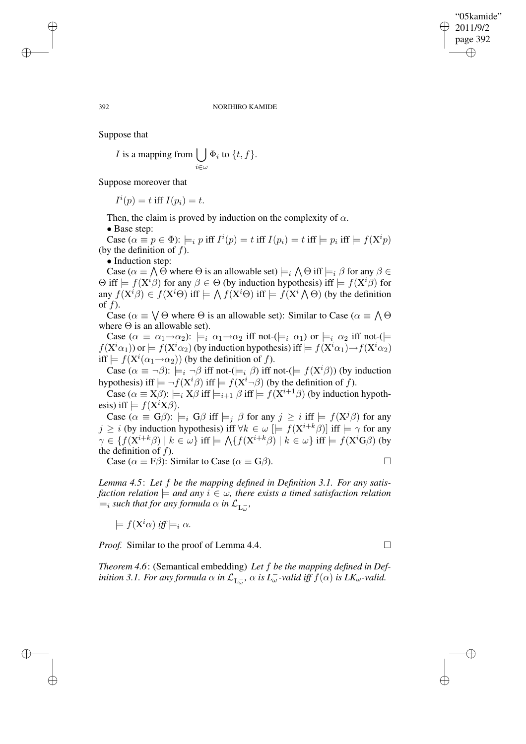#### 392 NORIHIRO KAMIDE

Suppose that

*I* is a mapping from  $\vert \ \vert$  $i\in\omega$  $\Phi_i$  to  $\{t, f\}.$ 

Suppose moreover that

 $I^i(p) = t$  iff  $I(p_i) = t$ .

Then, the claim is proved by induction on the complexity of  $\alpha$ .

• Base step:

Case  $(\alpha \equiv p \in \Phi)$ :  $\models_i p$  iff  $I^i(p) = t$  iff  $I(p_i) = t$  iff  $\models p_i$  iff  $\models f(\mathbf{X}^i p)$ (by the definition of  $f$ ).

• Induction step:

Case ( $\alpha \equiv \bigwedge \Theta$  where  $\Theta$  is an allowable set)  $\models_i \bigwedge \Theta$  iff  $\models_i \beta$  for any  $\beta \in$  $\Theta$  iff  $\models f(X^{i}\beta)$  for any  $\beta \in \Theta$  (by induction hypothesis) iff  $\models f(X^{i}\beta)$  for any  $f(X^{i}\beta) \in f(X^{i}\Theta)$  iff  $\models \bigwedge f(X^{i}\Theta)$  iff  $\models f(X^{i}\bigwedge \Theta)$  (by the definition of  $f$ ).

Case ( $\alpha \equiv \bigvee \Theta$  where  $\Theta$  is an allowable set): Similar to Case ( $\alpha \equiv \bigwedge \Theta$ where  $\Theta$  is an allowable set).

Case  $(\alpha \equiv \alpha_1 \rightarrow \alpha_2)$ :  $\models_i \alpha_1 \rightarrow \alpha_2$  iff not- $(\models_i \alpha_1)$  or  $\models_i \alpha_2$  iff not- $(\models_i \alpha_1)$  $f(\mathbf{X}^i\alpha_1)$ ) or  $\models f(\mathbf{X}^i\alpha_2)$  (by induction hypothesis) iff  $\models f(\mathbf{X}^i\alpha_1)\rightarrow f(\mathbf{X}^i\alpha_2)$ iff  $\models f(X^i(\alpha_1 \rightarrow \alpha_2))$  (by the definition of f).

Case  $(\alpha \equiv \neg \beta)$ :  $\models_i \neg \beta$  iff not- $(\models_i \beta)$  iff not- $(\models f(X^i\beta))$  (by induction hypothesis) iff  $\models \neg f(X^i\beta)$  iff  $\models f(X^i\neg \beta)$  (by the definition of f).

Case ( $\alpha \equiv X\beta$ ):  $\models_i X\beta$  iff  $\models_{i+1} \beta$  iff  $\models f(X^{i+1}\beta)$  (by induction hypothesis) iff  $\models f(X^iX\beta)$ .

Case  $(\alpha \equiv G\beta)$ :  $\models_i G\beta$  iff  $\models_j \beta$  for any  $j \geq i$  iff  $\models f(X^j\beta)$  for any  $j \geq i$  (by induction hypothesis) iff  $\forall k \in \omega \models f(X^{i+k}\beta)$  iff  $\models \gamma$  for any  $\gamma \in \{f(\mathrm{X}^{i+k} \beta) \mid k \in \omega\}$  iff  $\models \bigwedge \{f(\mathrm{X}^{i+k} \beta) \mid k \in \omega\}$  iff  $\models f(\mathrm{X}^i \mathrm{G} \beta)$  (by the definition of  $f$ ).

Case ( $\alpha \equiv F\beta$ ): Similar to Case ( $\alpha \equiv G\beta$ ).

*Lemma 4.5*: *Let* f *be the mapping defined in Definition 3.1. For any satisfaction relation*  $\models$  *and any*  $i \in \omega$ , *there exists a timed satisfaction relation*  $\models_i$  such that for any formula  $\alpha$  in  $\mathcal{L}_{\mathrm{L}_\omega^-},$ 

 $\models f(X^i\alpha)$  *iff*  $\models_i \alpha$ *.* 

*Proof.* Similar to the proof of Lemma 4.4. □

✐

✐

*Theorem 4.6*: (Semantical embedding) *Let* f *be the mapping defined in Definition* 3.1. For any formula  $\alpha$  *in*  $\mathcal{L}_{L_{\omega}^-}$ ,  $\alpha$  *is*  $L_{\omega}^-$ -valid *iff*  $f(\alpha)$  *is*  $LK_{\omega}$ -valid.

✐

✐

✐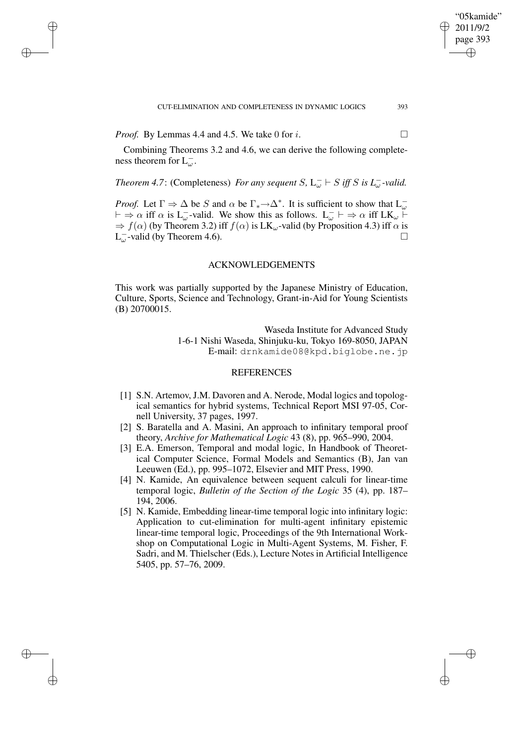*Proof.* By Lemmas 4.4 and 4.5. We take 0 for i.  $\Box$ 

✐

✐

✐

✐

Combining Theorems 3.2 and 4.6, we can derive the following completeness theorem for  $L_{\omega}^-$ .

# *Theorem* 4.7: (Completeness) *For any sequent*  $S$ ,  $L_{\omega}^ \vdash$   $S$  *iff*  $S$  *is*  $L_{\omega}^-$ -valid.

*Proof.* Let  $\Gamma \Rightarrow \Delta$  be S and  $\alpha$  be  $\Gamma_* \to \Delta^*$ . It is sufficient to show that  $L_{\omega}^ \vdash \Rightarrow \alpha$  iff  $\alpha$  is  $L_{\omega}^-$ -valid. We show this as follows.  $L_{\omega}^- \vdash \Rightarrow \alpha$  iff  $LK_{\omega} \vdash$  $\Rightarrow f(\alpha)$  (by Theorem 3.2) iff  $f(\alpha)$  is LK<sub>ω</sub>-valid (by Proposition 4.3) iff  $\alpha$  is  $L_{\omega}^-$ -valid (by Theorem 4.6).

## ACKNOWLEDGEMENTS

This work was partially supported by the Japanese Ministry of Education, Culture, Sports, Science and Technology, Grant-in-Aid for Young Scientists (B) 20700015.

> Waseda Institute for Advanced Study 1-6-1 Nishi Waseda, Shinjuku-ku, Tokyo 169-8050, JAPAN E-mail: drnkamide08@kpd.biglobe.ne.jp

# REFERENCES

- [1] S.N. Artemov, J.M. Davoren and A. Nerode, Modal logics and topological semantics for hybrid systems, Technical Report MSI 97-05, Cornell University, 37 pages, 1997.
- [2] S. Baratella and A. Masini, An approach to infinitary temporal proof theory, *Archive for Mathematical Logic* 43 (8), pp. 965–990, 2004.
- [3] E.A. Emerson, Temporal and modal logic, In Handbook of Theoretical Computer Science, Formal Models and Semantics (B), Jan van Leeuwen (Ed.), pp. 995–1072, Elsevier and MIT Press, 1990.
- [4] N. Kamide, An equivalence between sequent calculi for linear-time temporal logic, *Bulletin of the Section of the Logic* 35 (4), pp. 187– 194, 2006.
- [5] N. Kamide, Embedding linear-time temporal logic into infinitary logic: Application to cut-elimination for multi-agent infinitary epistemic linear-time temporal logic, Proceedings of the 9th International Workshop on Computational Logic in Multi-Agent Systems, M. Fisher, F. Sadri, and M. Thielscher (Eds.), Lecture Notes in Artificial Intelligence 5405, pp. 57–76, 2009.

"05kamide" 2011/9/2 page 393

✐

✐

✐